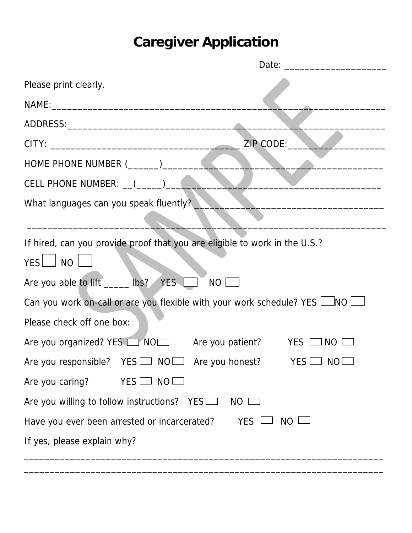## **Caregiver Application**

| Please print clearly.                                                                                 |  |  |  |  |
|-------------------------------------------------------------------------------------------------------|--|--|--|--|
|                                                                                                       |  |  |  |  |
|                                                                                                       |  |  |  |  |
| ZIP CODE:                                                                                             |  |  |  |  |
|                                                                                                       |  |  |  |  |
| CELL PHONE NUMBER: __(_____)_______                                                                   |  |  |  |  |
| What languages can you speak fluently?                                                                |  |  |  |  |
|                                                                                                       |  |  |  |  |
| If hired, can you provide proof that you are eligible to work in the U.S.?<br><b>YES</b><br>$\Box$ NO |  |  |  |  |
| Are you able to lift _____ lbs? YES<br>$NO$ $\Box$                                                    |  |  |  |  |
| Can you work on-call or are you flexible with your work schedule? YES $\Box$ NO $\Box$                |  |  |  |  |
| Please check off one box:                                                                             |  |  |  |  |
| Are you organized? YES <u>on NOD</u> Are you patient? YES ON NO                                       |  |  |  |  |
| Are you responsible? YES I NOI Are you honest? YES I NO                                               |  |  |  |  |
| $YES \Box NO \Box$<br>Are you caring?                                                                 |  |  |  |  |
| Are you willing to follow instructions? YES<br>$NO$ $\Box$                                            |  |  |  |  |
| $NO$ $\Box$<br>YES L<br>Have you ever been arrested or incarcerated?                                  |  |  |  |  |
| If yes, please explain why?                                                                           |  |  |  |  |

\_\_\_\_\_\_\_\_\_\_\_\_\_\_\_\_\_\_\_\_\_\_\_\_\_\_\_\_\_\_\_\_\_\_\_\_\_\_\_\_\_\_\_\_\_\_\_\_\_\_\_\_\_\_\_\_\_\_\_\_\_\_\_\_\_\_\_\_\_\_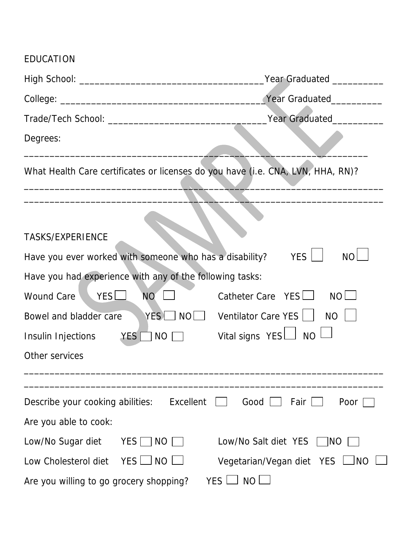## EDUCATION

|                                                                      | Year Graduated __________                                                                                                                                                                                                                                                                                           |
|----------------------------------------------------------------------|---------------------------------------------------------------------------------------------------------------------------------------------------------------------------------------------------------------------------------------------------------------------------------------------------------------------|
|                                                                      | Year Graduated___________                                                                                                                                                                                                                                                                                           |
|                                                                      | Year Graduated New York                                                                                                                                                                                                                                                                                             |
| Degrees:                                                             |                                                                                                                                                                                                                                                                                                                     |
|                                                                      | What Health Care certificates or licenses do you have (i.e. CNA, LVN, HHA, RN)?                                                                                                                                                                                                                                     |
|                                                                      |                                                                                                                                                                                                                                                                                                                     |
| <b>TASKS/EXPERIENCE</b>                                              |                                                                                                                                                                                                                                                                                                                     |
| Have you ever worked with someone who has a disability?              | YES  <br><b>NO</b>                                                                                                                                                                                                                                                                                                  |
| Have you had experience with any of the following tasks:             |                                                                                                                                                                                                                                                                                                                     |
| YES<br><b>Wound Care</b><br>NO <sup>®</sup>                          | Catheter Care $YES$<br>$NO$ $\Box$                                                                                                                                                                                                                                                                                  |
| Bowel and bladder care                                               | $YES \t\n\n\[\n\]\n\[\n\[\n\]\n\[\n\]\n\[\n\]\n\[\n\]\n\[\n\]\n\[\n\]\n\[\n\]\n\[\n\]\n\[\n\]\n\[\n\]\n\[\n\]\n\[\n\]\n\[\n\]\n\[\n\]\n\[\n\]\n\[\n\]\n\[\n\]\n\[\n\]\n\[\n\]\n\[\n\]\n\[\n\]\n\[\n\]\n\[\n\]\n\[\n\]\n\[\n\]\n\[\n\]\n\[\n\]\n\[\n\]\n\[\n\]\n\[\n\]\n\[\n\]\n\[\n\]\n\[\n\]\n\[\n\]\n\[\$<br>$NO$ |
| Insulin Injections $YES \cap NO \cap$ Vital signs $YES \cup NO \cup$ |                                                                                                                                                                                                                                                                                                                     |
| Other services                                                       |                                                                                                                                                                                                                                                                                                                     |
|                                                                      |                                                                                                                                                                                                                                                                                                                     |
| Describe your cooking abilities:                                     | Excellent<br>Good<br>Fair<br>Poor                                                                                                                                                                                                                                                                                   |
| Are you able to cook:                                                |                                                                                                                                                                                                                                                                                                                     |
| Low/No Sugar diet<br>YES    <br>$NO$ $\Box$                          | Low/No Salt diet YES<br>INO.                                                                                                                                                                                                                                                                                        |
| $YES \Box NO$<br>Low Cholesterol diet                                | Vegetarian/Vegan diet YES L<br>INO                                                                                                                                                                                                                                                                                  |
| Are you willing to go grocery shopping?                              | YES I<br><b>NO</b>                                                                                                                                                                                                                                                                                                  |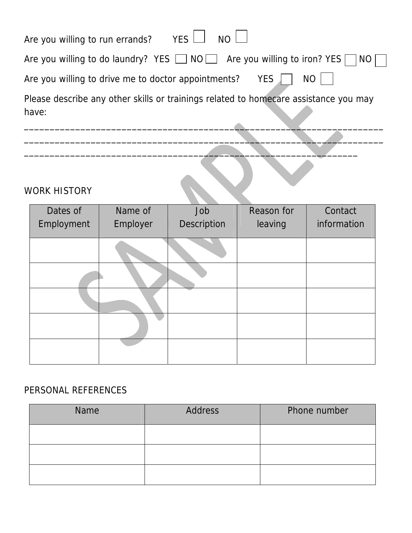| Are you willing to run errands? YES $\Box$ NO $\Box$                                              |
|---------------------------------------------------------------------------------------------------|
| Are you willing to do laundry? YES $\Box$ NO $\Box$ Are you willing to iron? YES $\Box$ NO $\Box$ |
| Are you willing to drive me to doctor appointments? YES $\parallel$   NO                          |
| Please describe any other skills or trainings related to homecare assistance you may<br>have:     |

 $\overline{\phantom{a}}$  , and the contract of the contract of the contract of the contract of the contract of the contract of the contract of the contract of the contract of the contract of the contract of the contract of the contrac

 $\frac{1}{2}$  ,  $\frac{1}{2}$  ,  $\frac{1}{2}$  ,  $\frac{1}{2}$  ,  $\frac{1}{2}$  ,  $\frac{1}{2}$  ,  $\frac{1}{2}$  ,  $\frac{1}{2}$  ,  $\frac{1}{2}$  ,  $\frac{1}{2}$  ,  $\frac{1}{2}$  ,  $\frac{1}{2}$  ,  $\frac{1}{2}$  ,  $\frac{1}{2}$  ,  $\frac{1}{2}$  ,  $\frac{1}{2}$  ,  $\frac{1}{2}$  ,  $\frac{1}{2}$  ,  $\frac{1$ 

## WORK HISTORY

| Dates of   | Name of  | Job         | Reason for | Contact     |
|------------|----------|-------------|------------|-------------|
| Employment | Employer | Description | leaving    | information |
|            |          |             |            |             |
|            |          |             |            |             |
|            |          |             |            |             |
|            |          |             |            |             |
|            |          |             |            |             |
|            |          |             |            |             |

## PERSONAL REFERENCES

| Name | <b>Address</b> | Phone number |
|------|----------------|--------------|
|      |                |              |
|      |                |              |
|      |                |              |